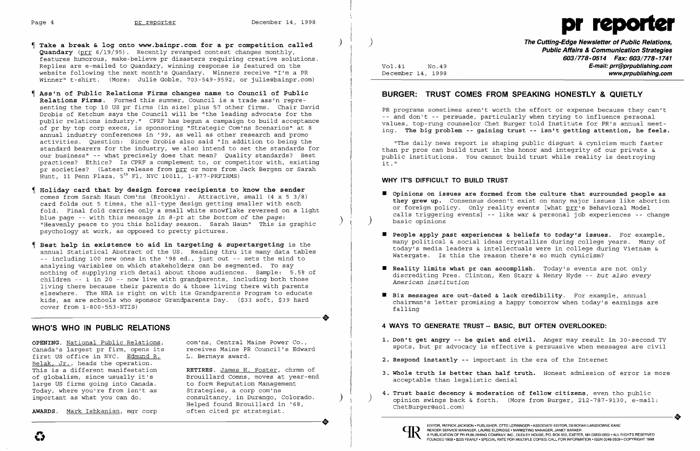

- **Take a break & log onto www.bainpr.com for a pr competition called** ) **Quandary** (prr 6/19/95). Recently revamped contest changes monthly, features humorous, make-believe pr disasters requiring creative solutions. Replies are e-mailed to Quandary, winning response is featured on the website following the next month's Quandary. Winners receive "I'm a PR Winner" t-shirt. (More: Julie Goble, 703-549-9592, or julie@bainpr.com)
- **Ass'n of Public Relations Firms changes name to Council of Public Relations Firms.** Formed this summer, Council is a trade ass'n representing the top 10 US pr firms (in size) plus 57 other firms. Chair David Drobis of Ketchum says the Council will be "the leading advocate for the public relations industry." CPRF has begun a campaign to build acceptance of pr by top corp execs, is sponsoring "Strategic Com'ns Scenarios" at 8 annual industry conferences in '99, as well as other research and promo activities. Question: Since Drobis also said "In addition to being the standard bearers for the industry, we also intend to set the standards for our business" -- what precisely does that mean? Quality standards? Best practices? Ethics? Is CPRF a complement to, or competitor with, existing pr societies? (Latest release from prr or more from Jack Bergen or Sarah  $\frac{1}{2}$ Hunt, 11 Penn Plaza, 5<sup>th</sup> Fl, NYC 10011, 1-877-PRFIRMS)
- **Holiday card that by design forces recipients to know the sender**  comes from Sarah Haun Com'ns (Brooklyn). Attractive, small (4 x 5 3/8) card folds out 5 times, the all-type design getting smaller with each fold. Final fold carries only a small white snowflake reversed on a light blue page -- with this message *in 8-pt* at *the bottom of the page:* "Heavenly peace to you this holiday season. Sarah Haun" This is graphic psychology at work, as opposed to pretty pictures.
- **Best help in existence to aid in targeting & supertargeting** is the annual Statistical Abstract of the US. Reading thru its many data tables -- including 100 new ones in the '98 ed., just out -- sets the mind to analyzing variables on which stakeholders can be segmented. To say nothing of supplying rich detail about those audiences. Sample: 5.5% of children -- 1 in 20 -- now live with grandparents, including both those living there because their parents do & those living there with parents elsewhere. The NRA is right on with its Grandparents Program to educate kids, as are schools who sponsor Grandparents Day. (\$33 soft, \$39 hard cover from 1-800-553-NTIS) cover from 1-800-553-NTIS)

 $\blacksquare$  Opinions on issues are formed from the culture that surrounded people as **they grew up.** Consensus doesn't exist on many major issues like abortion or foreign policy. Only reality events [what prr's Behavioral Model calls triggering events] -- like war & personal job experiences -- change

- basic opinions
- Watergate. Is this the reason there's so much cynicism?
- **Reality limits what pr can accomplish**. Today's events are not only *American institution*
- **• Biz messages are out-dated & lack credibility.** For example, annual falling

# **WHO'S WHO IN PUBLIC RELATIONS**

**OPENING.** <u>National Public Relations</u>, com'ns, Central Maine Power Co., Canada's largest pr firm, opens its creceives Maine PR Council's Edward Canada's largest pr firm, opens its receives Maine PR<br>first US office in NYC. Edmund R. L. Bernays award. first US office in NYC. Edmund R. Belak, Jr., heads the operation.<br>This is a different manifestation This is a different manifestation<br>
of globalism, since usually it's<br>
Brouillard Comns, moves at year-eno large US firms going into Canada. to form Reputation Managem<br>Today, where you're from isn't as the Strategies, a corp com'ns Today, where you're from isn't as<br>important as what you can do.

**AWARDS.** Mark Ishkanian, mgr corp

Brouillard Comns, moves at year-end<br>to form Reputation Management consultancy, in Durango, Colorado.<br>Helped found Brouillard in '68,<br>often cited pr strategist. AWARDS. Mark Ishkanian, mgr corp felped found Brouillard in '68,<br>
AWARDS. Mark Ishkanian, mgr corp often cited pr strategist.

- 
- **2. Respond instantly --** important in the era of the Internet
- acceptable than legalistic denial
- ChetBurger@aol.com) opinion swings back & forth. (More from Burger, 212-787-9130, e-mail:<br>ChetBurger@aol.com)<br>EDITOR, PATRICK JACKSON • PUBLISHER, OTTO LERBINGER • ASSOCIATE EDITOR, DEBORAH LANSDOWNE KANE



) **The Cutting-Edge Newsletter of Public Relations, Public Affairs & Communication Strategies 603/778-0514 Fax: 603/778-1741**  Vol.41 NO.49 **E-mail: prr@prpublishing.com** 

December 14, 1998 **www.prpublishing.com** 

# **BURGER: TRUST COMES FROM SPEAKING HONESTLY & QUIETLY**

PR programs sometimes aren't worth the effort or expense because they can't -- and don't -- persuade, particularly when trying to influence personal values, top-rung counselor Chet Burger told Institute for PR's annual meeting. **The big problem -- gaining trust -- isn't getting attention, he feels.** 

"The daily news report is shaping public disgust & cynicism much faster than pr pros can build trust in the honor and integrity of our private & public institutions. You cannot build trust while reality is destroying it."

### **WHY IT'S DIFFICULT TO BUILD TRUST**

**• People apply** *past* **experiences & beliefs to** *today's* **issues.** For example, many political & social ideas crystallize during college years. Many of today's media leaders & intellectuals were in college during Vietnam &

discrediting Pres. Clinton, Ken Starr & Henry Hyde -- *but also every* 

chairman's letter promising a happy tomorrow when today's earnings are

### **4 WAYS TO GENERATE TRUST -- BASIC, BUT OFTEN OVERLOOKED:**

**1. Don't get angry -- be quiet and civil.** Anger may result in 30-second TV spots, but pr advocacy is effective & persuasive when messages are civil

**3. Whole truth is better than half truth.** Honest admission of error is more

**4. Trust basic decency & moderation of fellow citizens**, even tho public